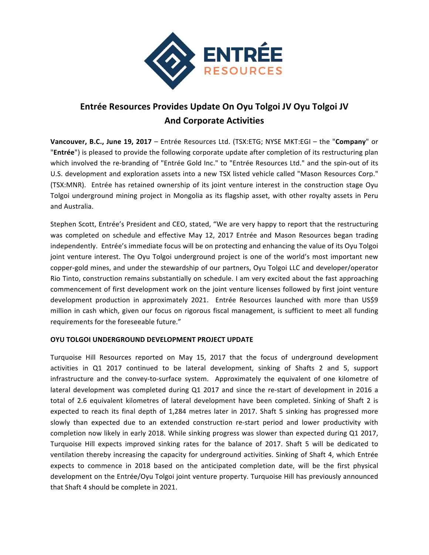

# **Entrée Resources Provides Update On Oyu Tolgoi JV Oyu Tolgoi JV And Corporate Activities**

**Vancouver, B.C., June 19, 2017** – Entrée Resources Ltd. (TSX:ETG; NYSE MKT:EGI – the "Company" or "**Entrée**") is pleased to provide the following corporate update after completion of its restructuring plan which involved the re-branding of "Entrée Gold Inc." to "Entrée Resources Ltd." and the spin-out of its U.S. development and exploration assets into a new TSX listed vehicle called "Mason Resources Corp." (TSX:MNR). Entrée has retained ownership of its joint venture interest in the construction stage Oyu Tolgoi underground mining project in Mongolia as its flagship asset, with other royalty assets in Peru and Australia.

Stephen Scott, Entrée's President and CEO, stated, "We are very happy to report that the restructuring was completed on schedule and effective May 12, 2017 Entrée and Mason Resources began trading independently. Entrée's immediate focus will be on protecting and enhancing the value of its Oyu Tolgoi joint venture interest. The Oyu Tolgoi underground project is one of the world's most important new copper-gold mines, and under the stewardship of our partners, Oyu Tolgoi LLC and developer/operator Rio Tinto, construction remains substantially on schedule. I am very excited about the fast approaching commencement of first development work on the joint venture licenses followed by first joint venture development production in approximately 2021. Entrée Resources launched with more than US\$9 million in cash which, given our focus on rigorous fiscal management, is sufficient to meet all funding requirements for the foreseeable future."

### **OYU TOLGOI UNDERGROUND DEVELOPMENT PROJECT UPDATE**

Turquoise Hill Resources reported on May 15, 2017 that the focus of underground development activities in Q1 2017 continued to be lateral development, sinking of Shafts 2 and 5, support infrastructure and the convey-to-surface system. Approximately the equivalent of one kilometre of lateral development was completed during Q1 2017 and since the re-start of development in 2016 a total of 2.6 equivalent kilometres of lateral development have been completed. Sinking of Shaft 2 is expected to reach its final depth of 1,284 metres later in 2017. Shaft 5 sinking has progressed more slowly than expected due to an extended construction re-start period and lower productivity with completion now likely in early 2018. While sinking progress was slower than expected during Q1 2017, Turquoise Hill expects improved sinking rates for the balance of 2017. Shaft 5 will be dedicated to ventilation thereby increasing the capacity for underground activities. Sinking of Shaft 4, which Entrée expects to commence in 2018 based on the anticipated completion date, will be the first physical development on the Entrée/Oyu Tolgoi joint venture property. Turquoise Hill has previously announced that Shaft 4 should be complete in 2021.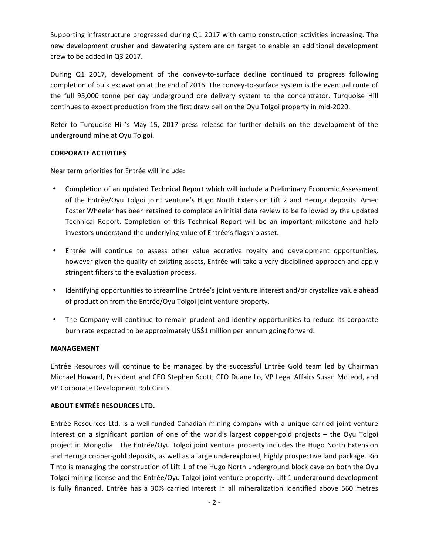Supporting infrastructure progressed during Q1 2017 with camp construction activities increasing. The new development crusher and dewatering system are on target to enable an additional development crew to be added in Q3 2017.

During Q1 2017, development of the convey-to-surface decline continued to progress following completion of bulk excavation at the end of 2016. The convey-to-surface system is the eventual route of the full 95,000 tonne per day underground ore delivery system to the concentrator. Turquoise Hill continues to expect production from the first draw bell on the Oyu Tolgoi property in mid-2020.

Refer to Turquoise Hill's May 15, 2017 press release for further details on the development of the underground mine at Oyu Tolgoi.

### **CORPORATE ACTIVITIES**

Near term priorities for Entrée will include:

- Completion of an updated Technical Report which will include a Preliminary Economic Assessment of the Entrée/Oyu Tolgoi joint venture's Hugo North Extension Lift 2 and Heruga deposits. Amec Foster Wheeler has been retained to complete an initial data review to be followed by the updated Technical Report. Completion of this Technical Report will be an important milestone and help investors understand the underlying value of Entrée's flagship asset.
- Entrée will continue to assess other value accretive royalty and development opportunities, however given the quality of existing assets, Entrée will take a very disciplined approach and apply stringent filters to the evaluation process.
- Identifying opportunities to streamline Entrée's joint venture interest and/or crystalize value ahead of production from the Entrée/Oyu Tolgoi joint venture property.
- The Company will continue to remain prudent and identify opportunities to reduce its corporate burn rate expected to be approximately US\$1 million per annum going forward.

### **MANAGEMENT**

Entrée Resources will continue to be managed by the successful Entrée Gold team led by Chairman Michael Howard, President and CEO Stephen Scott, CFO Duane Lo, VP Legal Affairs Susan McLeod, and VP Corporate Development Rob Cinits.

## **ABOUT ENTRÉE RESOURCES LTD.**

Entrée Resources Ltd. is a well-funded Canadian mining company with a unique carried joint venture interest on a significant portion of one of the world's largest copper-gold projects  $-$  the Oyu Tolgoi project in Mongolia. The Entrée/Oyu Tolgoi joint venture property includes the Hugo North Extension and Heruga copper-gold deposits, as well as a large underexplored, highly prospective land package. Rio Tinto is managing the construction of Lift 1 of the Hugo North underground block cave on both the Oyu Tolgoi mining license and the Entrée/Oyu Tolgoi joint venture property. Lift 1 underground development is fully financed. Entrée has a 30% carried interest in all mineralization identified above 560 metres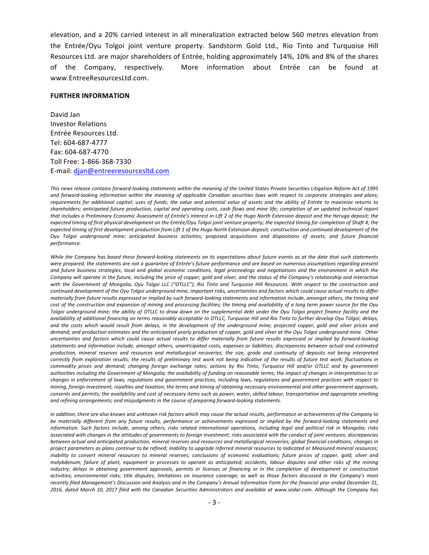elevation, and a 20% carried interest in all mineralization extracted below 560 metres elevation from the Entrée/Oyu Tolgoi joint venture property. Sandstorm Gold Ltd., Rio Tinto and Turquoise Hill Resources Ltd. are major shareholders of Entrée, holding approximately 14%, 10% and 8% of the shares of the Company, respectively. More information about Entrée can be found at www.EntreeResourcesLtd.com.

#### **FURTHER INFORMATION**

David Jan Investor Relations Entrée Resources Ltd. Tel: 604-687-4777 Fax: 604-687-4770 Toll Free: 1-866-368-7330 E-mail: djan@entreeresourcesltd.com

This news release contains forward-looking statements within the meaning of the United States Private Securities Litigation Reform Act of 1995 and forward-looking information within the meaning of applicable Canadian securities laws with respect to corporate strategies and plans; requirements for additional capital; uses of funds; the value and potential value of assets and the ability of Entrée to maximize returns to shareholders; anticipated future production, capital and operating costs, cash flows and mine life; completion of an updated technical report that includes a Preliminary Economic Assessment of Entrée's interest in Lift 2 of the Hugo North Extension deposit and the Heruga deposit; the expected timing of first physical development on the Entrée/Oyu Tolgoi joint venture property; the expected timing for completion of Shaft 4; the expected timing of first development production from Lift 1 of the Hugo North Extension deposit; construction and continued development of the *Oyu Tolgoi underground mine; anticipated business activities; proposed acquisitions and dispositions of assets; and future financial performance.*

While the Company has based these forward-looking statements on its expectations about future events as at the date that such statements were prepared, the statements are not a guarantee of Entrée's future performance and are based on numerous assumptions regarding present and future business strategies, local and global economic conditions, legal proceedings and negotiations and the environment in which the Company will operate in the future, including the price of copper, gold and silver, and the status of the Company's relationship and interaction with the Government of Mongolia, Oyu Tolgoi LLC ("OTLLC"), Rio Tinto and Turquoise Hill Resources. With respect to the construction and continued development of the Oyu Tolgoi underground mine, important risks, uncertainties and factors which could cause actual results to differ materially from future results expressed or implied by such forward-looking statements and information include, amongst others, the timing and cost of the construction and expansion of mining and processing facilities; the timing and availability of a long term power source for the Oyu Tolgoi underground mine; the ability of OTLLC to draw down on the supplemental debt under the Oyu Tolgoi project finance facility and the availability of additional financing on terms reasonably acceptable to OTLLC, Turquoise Hill and Rio Tinto to further develop Oyu Tolgoi; delays, and the costs which would result from delays, in the development of the underground mine; projected copper, gold and silver prices and demand; and production estimates and the anticipated yearly production of copper, gold and silver at the Oyu Tolgoi underground mine. Other *uncertainties and factors which could cause actual results to differ materially from future results expressed or implied by forward-looking* statements and information include, amongst others, unanticipated costs, expenses or liabilities; discrepancies between actual and estimated production, mineral reserves and resources and metallurgical recoveries; the size, grade and continuity of deposits not being interpreted correctly from exploration results; the results of preliminary test work not being indicative of the results of future test work; fluctuations in commodity prices and demand; changing foreign exchange rates; actions by Rio Tinto, Turquoise Hill and/or OTLLC and by government authorities including the Government of Mongolia; the availability of funding on reasonable terms; the impact of changes in interpretation to or changes in enforcement of laws, regulations and government practices, including laws, regulations and government practices with respect to mining, foreign investment, royalties and taxation; the terms and timing of obtaining necessary environmental and other government approvals, consents and permits; the availability and cost of necessary items such as power, water, skilled labour, transportation and appropriate smelting and refining arrangements; and misjudgments in the course of preparing forward-looking statements.

In addition, there are also known and unknown risk factors which may cause the actual results, performance or achievements of the Company to be materially different from any future results, performance or achievements expressed or implied by the forward-looking statements and information. Such factors include, among others, risks related international operations, including legal and political risk in Mongolia; risks associated with changes in the attitudes of governments to foreign investment; risks associated with the conduct of joint ventures; discrepancies between actual and anticipated production, mineral reserves and resources and metallurgical recoveries; global financial conditions; changes in project parameters as plans continue to be refined; inability to upgrade Inferred mineral resources to Indicated or Measured mineral resources; inability to convert mineral resources to mineral reserves; conclusions of economic evaluations; future prices of copper, gold, silver and *molybdenum;* failure of plant, equipment or processes to operate as anticipated; accidents, labour disputes and other risks of the mining industry; delays in obtaining government approvals, permits or licenses or financing or in the completion of development or construction activities; environmental risks; title disputes; limitations on insurance coverage; as well as those factors discussed in the Company's most recently filed Management's Discussion and Analysis and in the Company's Annual Information Form for the financial year ended December 31, 2016, dated March 10, 2017 filed with the Canadian Securities Administrators and available at www.sedar.com. Although the Company has